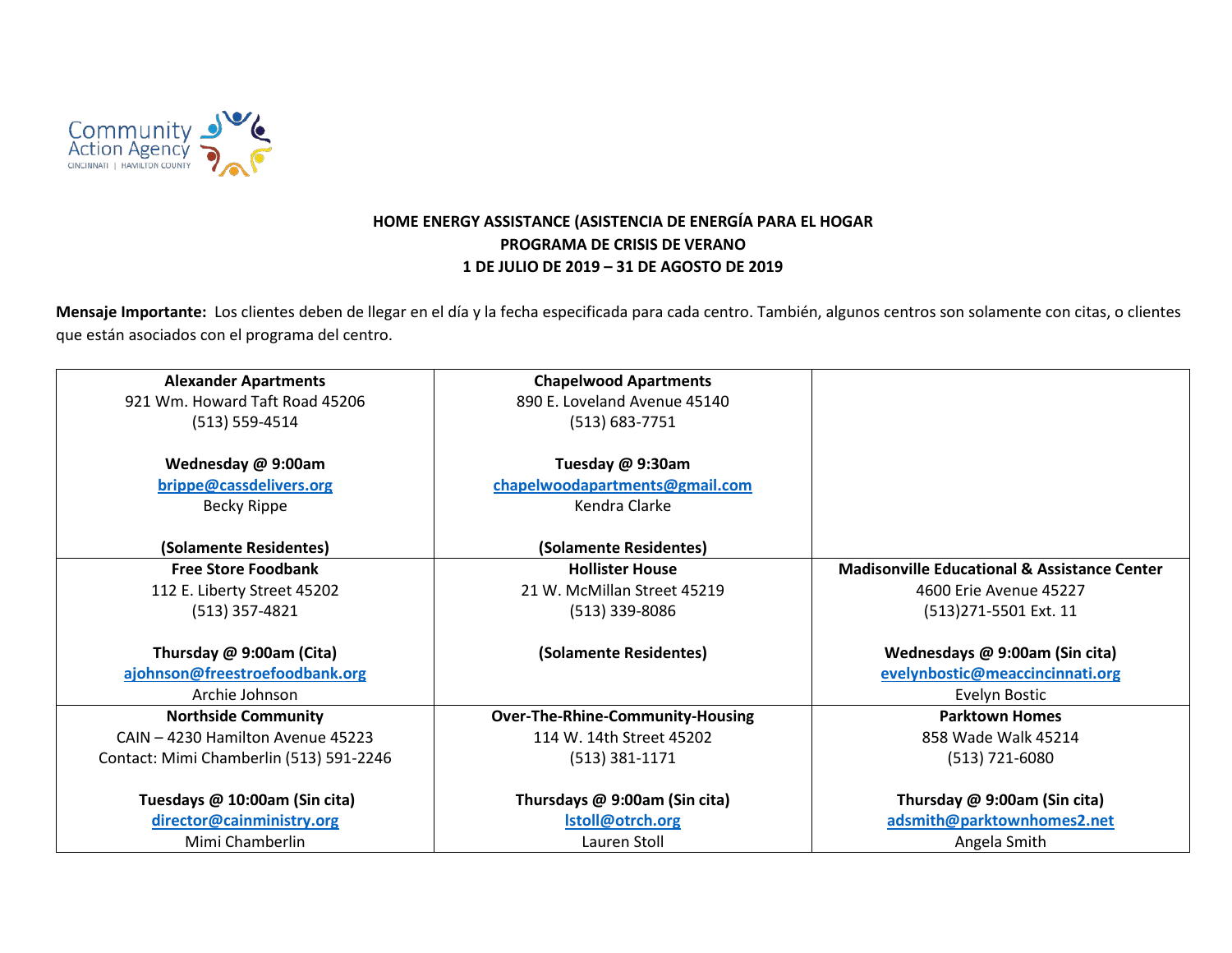

## **HOME ENERGY ASSISTANCE (ASISTENCIA DE ENERGÍA PARA EL HOGAR PROGRAMA DE CRISIS DE VERANO 1 DE JULIO DE 2019 – 31 DE AGOSTO DE 2019**

Mensaje Importante: Los clientes deben de llegar en el día y la fecha especificada para cada centro. También, algunos centros son solamente con citas, o clientes que están asociados con el programa del centro.

| <b>Alexander Apartments</b>             | <b>Chapelwood Apartments</b>            |                                                         |
|-----------------------------------------|-----------------------------------------|---------------------------------------------------------|
| 921 Wm. Howard Taft Road 45206          | 890 E. Loveland Avenue 45140            |                                                         |
| $(513) 559 - 4514$                      | $(513) 683 - 7751$                      |                                                         |
|                                         |                                         |                                                         |
| Wednesday @ 9:00am                      | Tuesday @ 9:30am                        |                                                         |
| brippe@cassdelivers.org                 | chapelwoodapartments@gmail.com          |                                                         |
| Becky Rippe                             | Kendra Clarke                           |                                                         |
|                                         |                                         |                                                         |
| (Solamente Residentes)                  | (Solamente Residentes)                  |                                                         |
| <b>Free Store Foodbank</b>              | <b>Hollister House</b>                  | <b>Madisonville Educational &amp; Assistance Center</b> |
| 112 E. Liberty Street 45202             | 21 W. McMillan Street 45219             | 4600 Erie Avenue 45227                                  |
| $(513)$ 357-4821                        | $(513)$ 339-8086                        | (513)271-5501 Ext. 11                                   |
|                                         |                                         |                                                         |
| Thursday @ 9:00am (Cita)                | (Solamente Residentes)                  | Wednesdays @ 9:00am (Sin cita)                          |
| ajohnson@freestroefoodbank.org          |                                         | evelynbostic@meaccincinnati.org                         |
| Archie Johnson                          |                                         | Evelyn Bostic                                           |
| <b>Northside Community</b>              | <b>Over-The-Rhine-Community-Housing</b> | <b>Parktown Homes</b>                                   |
| CAIN - 4230 Hamilton Avenue 45223       | 114 W. 14th Street 45202                | 858 Wade Walk 45214                                     |
| Contact: Mimi Chamberlin (513) 591-2246 | $(513)$ 381-1171                        | $(513) 721 - 6080$                                      |
|                                         |                                         |                                                         |
| Tuesdays @ 10:00am (Sin cita)           | Thursdays @ 9:00am (Sin cita)           | Thursday @ 9:00am (Sin cita)                            |
| director@cainministry.org               | Istoll@otrch.org                        | adsmith@parktownhomes2.net                              |
| Mimi Chamberlin                         | Lauren Stoll                            | Angela Smith                                            |